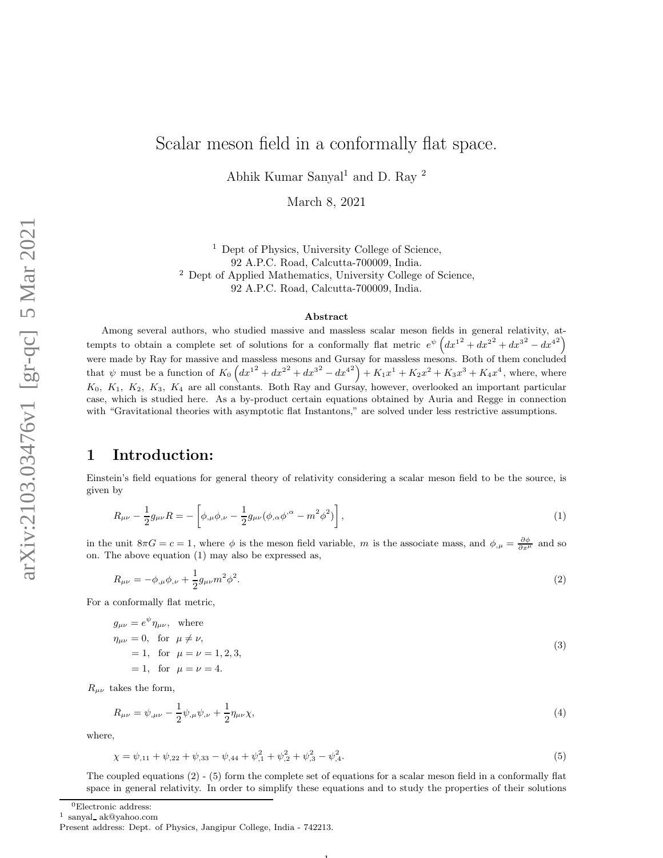# Scalar meson field in a conformally flat space.

Abhik Kumar Sanyal<sup>1</sup> and D. Ray<sup>2</sup>

March 8, 2021

<sup>1</sup> Dept of Physics, University College of Science, 92 A.P.C. Road, Calcutta-700009, India. <sup>2</sup> Dept of Applied Mathematics, University College of Science, 92 A.P.C. Road, Calcutta-700009, India.

#### Abstract

Among several authors, who studied massive and massless scalar meson fields in general relativity, attempts to obtain a complete set of solutions for a conformally flat metric  $e^{\psi} (dx^{12} + dx^{22} + dx^{32} - dx^{42})$ were made by Ray for massive and massless mesons and Gursay for massless mesons. Both of them concluded that  $\psi$  must be a function of  $K_0 \left( dx^{1^2} + dx^{2^2} + dx^{3^2} - dx^{4^2} \right) + K_1 x^1 + K_2 x^2 + K_3 x^3 + K_4 x^4$ , where, where  $K_0, K_1, K_2, K_3, K_4$  are all constants. Both Ray and Gursay, however, overlooked an important particular case, which is studied here. As a by-product certain equations obtained by Auria and Regge in connection with "Gravitational theories with asymptotic flat Instantons," are solved under less restrictive assumptions.

## 1 Introduction:

Einstein's field equations for general theory of relativity considering a scalar meson field to be the source, is given by

$$
R_{\mu\nu} - \frac{1}{2}g_{\mu\nu}R = -\left[\phi_{,\mu}\phi_{,\nu} - \frac{1}{2}g_{\mu\nu}(\phi_{,\alpha}\phi^{,\alpha} - m^2\phi^2)\right],
$$
\n(1)

in the unit  $8\pi G = c = 1$ , where  $\phi$  is the meson field variable, m is the associate mass, and  $\phi_{,\mu} = \frac{\partial \phi}{\partial x^{\mu}}$  and so on. The above equation (1) may also be expressed as,

$$
R_{\mu\nu} = -\phi_{,\mu}\phi_{,\nu} + \frac{1}{2}g_{\mu\nu}m^2\phi^2.
$$
 (2)

For a conformally flat metric,

$$
g_{\mu\nu} = e^{\psi} \eta_{\mu\nu}, \text{ where}
$$
  
\n
$$
\eta_{\mu\nu} = 0, \text{ for } \mu \neq \nu,
$$
  
\n
$$
= 1, \text{ for } \mu = \nu = 1, 2, 3,
$$
  
\n
$$
= 1, \text{ for } \mu = \nu = 4.
$$
\n(3)

 $R_{\mu\nu}$  takes the form,

$$
R_{\mu\nu} = \psi_{,\mu\nu} - \frac{1}{2} \psi_{,\mu} \psi_{,\nu} + \frac{1}{2} \eta_{\mu\nu} \chi,
$$
\n(4)

where,

$$
\chi = \psi_{,11} + \psi_{,22} + \psi_{,33} - \psi_{,44} + \psi_{,1}^2 + \psi_{,2}^2 + \psi_{,3}^2 - \psi_{,4}^2. \tag{5}
$$

The coupled equations (2) - (5) form the complete set of equations for a scalar meson field in a conformally flat space in general relativity. In order to simplify these equations and to study the properties of their solutions

1

 ${}^{0}$ Electronic address:

1 sanyal ak@yahoo.com

Present address: Dept. of Physics, Jangipur College, India - 742213.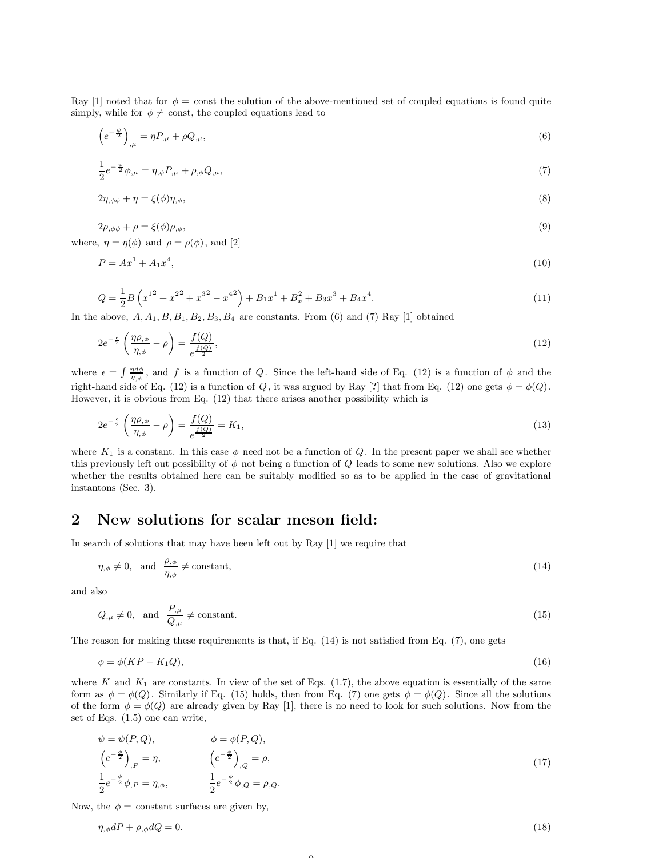Ray [1] noted that for  $\phi = \text{const}$  the solution of the above-mentioned set of coupled equations is found quite simply, while for  $\phi \neq \text{const}$ , the coupled equations lead to

$$
\left(e^{-\frac{\psi}{2}}\right)_{,\mu} = \eta P_{,\mu} + \rho Q_{,\mu},\tag{6}
$$

$$
\frac{1}{2}e^{-\frac{\psi}{2}}\phi_{,\mu} = \eta_{,\phi}P_{,\mu} + \rho_{,\phi}Q_{,\mu},\tag{7}
$$

$$
2\eta_{,\phi\phi} + \eta = \xi(\phi)\eta_{,\phi},\tag{8}
$$

$$
2\rho_{,\phi\phi} + \rho = \xi(\phi)\rho_{,\phi},\tag{9}
$$

where,  $\eta = \eta(\phi)$  and  $\rho = \rho(\phi)$ , and [2]

$$
P = Ax^1 + A_1 x^4,\tag{10}
$$

$$
Q = \frac{1}{2}B\left(x^{1^2} + x^{2^2} + x^{3^2} - x^{4^2}\right) + B_1x^1 + B_x^2 + B_3x^3 + B_4x^4.
$$
\n<sup>(11)</sup>

In the above,  $A, A_1, B, B_1, B_2, B_3, B_4$  are constants. From (6) and (7) Ray [1] obtained

$$
2e^{-\frac{\epsilon}{2}}\left(\frac{\eta\rho_{,\phi}}{\eta_{,\phi}}-\rho\right)=\frac{f(Q)}{e^{\frac{f(Q)}{2}}},\tag{12}
$$

where  $\epsilon = \int \frac{\eta d\phi}{\eta_{,\phi}}$ , and f is a function of Q. Since the left-hand side of Eq. (12) is a function of  $\phi$  and the right-hand side of Eq. (12) is a function of Q, it was argued by Ray [?] that from Eq. (12) one gets  $\phi = \phi(Q)$ . However, it is obvious from Eq. (12) that there arises another possibility which is

$$
2e^{-\frac{\epsilon}{2}}\left(\frac{\eta\rho_{,\phi}}{\eta_{,\phi}}-\rho\right)=\frac{f(Q)}{e^{\frac{f(Q)}{2}}}=K_1,
$$
\n(13)

where  $K_1$  is a constant. In this case  $\phi$  need not be a function of Q. In the present paper we shall see whether this previously left out possibility of  $\phi$  not being a function of  $Q$  leads to some new solutions. Also we explore whether the results obtained here can be suitably modified so as to be applied in the case of gravitational instantons (Sec. 3).

### 2 New solutions for scalar meson field:

In search of solutions that may have been left out by Ray [1] we require that

$$
\eta_{,\phi} \neq 0, \text{ and } \frac{\rho_{,\phi}}{\eta_{,\phi}} \neq \text{constant},\tag{14}
$$

and also

$$
Q_{,\mu} \neq 0, \text{ and } \frac{P_{,\mu}}{Q_{,\mu}} \neq \text{constant.}
$$
 (15)

The reason for making these requirements is that, if Eq. (14) is not satisfied from Eq. (7), one gets

$$
\phi = \phi(KP + K_1Q),\tag{16}
$$

where K and  $K_1$  are constants. In view of the set of Eqs. (1.7), the above equation is essentially of the same form as  $\phi = \phi(Q)$ . Similarly if Eq. (15) holds, then from Eq. (7) one gets  $\phi = \phi(Q)$ . Since all the solutions of the form  $\phi = \phi(Q)$  are already given by Ray [1], there is no need to look for such solutions. Now from the set of Eqs. (1.5) one can write,

$$
\psi = \psi(P, Q), \qquad \phi = \phi(P, Q),
$$
  
\n
$$
\left(e^{-\frac{\phi}{2}}\right)_{,P} = \eta, \qquad \left(e^{-\frac{\phi}{2}}\right)_{,Q} = \rho,
$$
  
\n
$$
\frac{1}{2}e^{-\frac{\phi}{2}}\phi_{,P} = \eta_{,\phi}, \qquad \frac{1}{2}e^{-\frac{\phi}{2}}\phi_{,Q} = \rho_{,Q}.
$$
\n(17)

Now, the  $\phi =$  constant surfaces are given by,

$$
\eta_{,\phi}dP + \rho_{,\phi}dQ = 0. \tag{18}
$$

 $\Omega$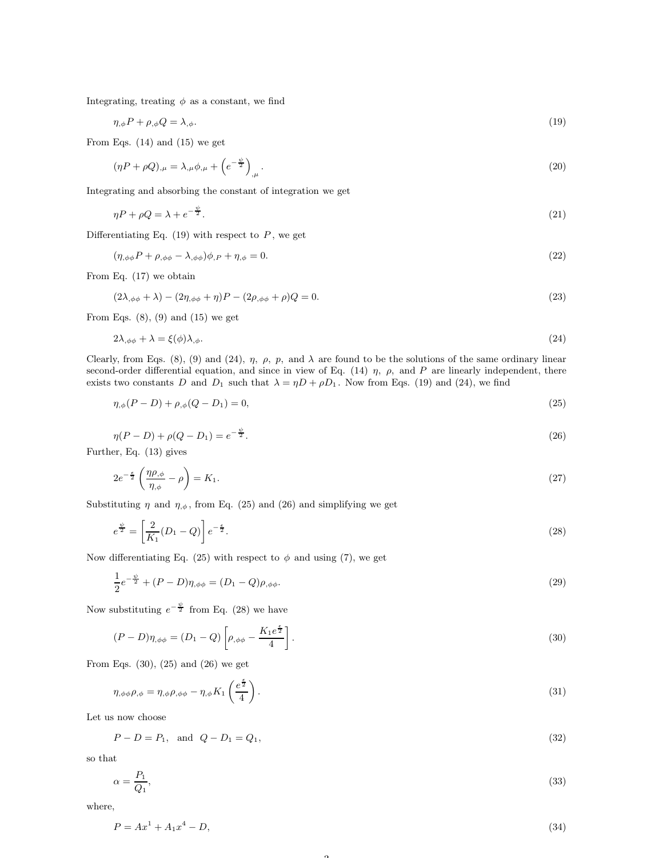Integrating, treating  $\phi$  as a constant, we find

$$
\eta_{,\phi} P + \rho_{,\phi} Q = \lambda_{,\phi}.\tag{19}
$$

From Eqs. (14) and (15) we get

$$
(\eta P + \rho Q)_{,\mu} = \lambda_{,\mu} \phi_{,\mu} + \left(e^{-\frac{\psi}{2}}\right)_{,\mu}.\tag{20}
$$

Integrating and absorbing the constant of integration we get

$$
\eta P + \rho Q = \lambda + e^{-\frac{\psi}{2}}.\tag{21}
$$

Differentiating Eq.  $(19)$  with respect to P, we get

 $\mathbf{a}^{\dagger}$ 

$$
(\eta_{,\phi\phi}P + \rho_{,\phi\phi} - \lambda_{,\phi\phi})\phi_{,P} + \eta_{,\phi} = 0. \tag{22}
$$

From Eq. (17) we obtain

$$
(2\lambda_{,\phi\phi} + \lambda) - (2\eta_{,\phi\phi} + \eta)P - (2\rho_{,\phi\phi} + \rho)Q = 0.
$$
\n(23)

From Eqs.  $(8)$ ,  $(9)$  and  $(15)$  we get

$$
2\lambda_{,\phi\phi} + \lambda = \xi(\phi)\lambda_{,\phi}.\tag{24}
$$

Clearly, from Eqs. (8), (9) and (24),  $\eta$ ,  $\rho$ ,  $p$ , and  $\lambda$  are found to be the solutions of the same ordinary linear second-order differential equation, and since in view of Eq. (14)  $\eta$ ,  $\rho$ , and P are linearly independent, there exists two constants D and  $D_1$  such that  $\lambda = \eta D + \rho D_1$ . Now from Eqs. (19) and (24), we find

$$
\eta_{,\phi}(P - D) + \rho_{,\phi}(Q - D_1) = 0,\tag{25}
$$

$$
\eta(P - D) + \rho(Q - D_1) = e^{-\frac{\psi}{2}}.
$$
\n(26)

Further, Eq. (13) gives

$$
2e^{-\frac{\epsilon}{2}}\left(\frac{\eta\rho_{,\phi}}{\eta_{,\phi}}-\rho\right)=K_1.\tag{27}
$$

Substituting  $\eta$  and  $\eta_{,\phi}$ , from Eq. (25) and (26) and simplifying we get

$$
e^{\frac{\psi}{2}} = \left[\frac{2}{K_1}(D_1 - Q)\right]e^{-\frac{\epsilon}{2}}.
$$
\n(28)

Now differentiating Eq. (25) with respect to  $\phi$  and using (7), we get

$$
\frac{1}{2}e^{-\frac{\psi}{2}} + (P - D)\eta_{,\phi\phi} = (D_1 - Q)\rho_{,\phi\phi}.
$$
\n(29)

Now substituting  $e^{-\frac{\psi}{2}}$  from Eq. (28) we have

$$
(P-D)\eta_{,\phi\phi} = (D_1 - Q) \left[ \rho_{,\phi\phi} - \frac{K_1 e^{\frac{\epsilon}{2}}}{4} \right].
$$
\n(30)

From Eqs. (30), (25) and (26) we get

$$
\eta_{,\phi\phi}\rho_{,\phi} = \eta_{,\phi}\rho_{,\phi\phi} - \eta_{,\phi}K_1\left(\frac{e^{\frac{\epsilon}{2}}}{4}\right). \tag{31}
$$

Let us now choose

 $P - D = P_1$ , and  $Q - D_1 = Q_1$ , (32)

so that

$$
\alpha = \frac{P_1}{Q_1},\tag{33}
$$

where,

$$
P = Ax^1 + A_1x^4 - D,\tag{34}
$$

 $\Omega$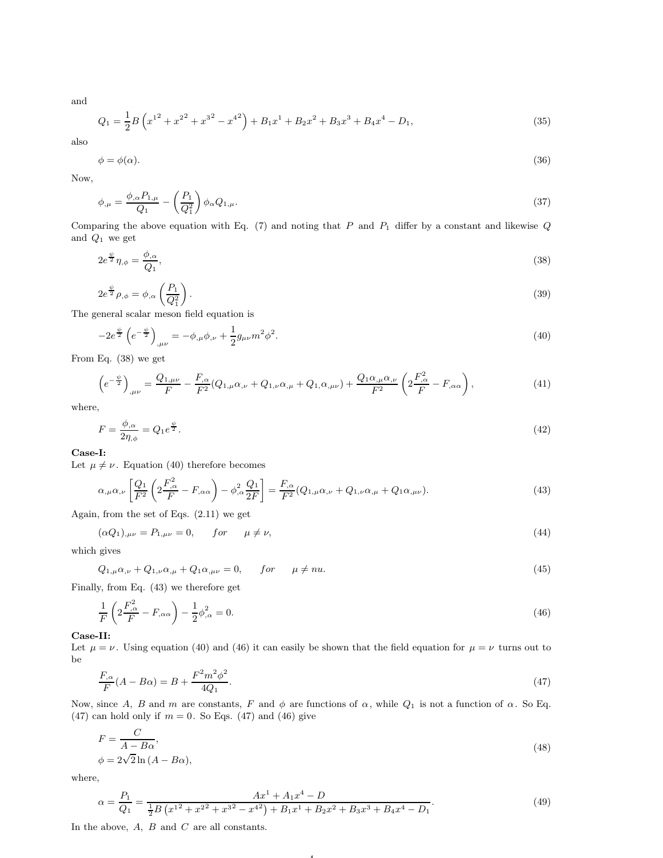and

$$
Q_1 = \frac{1}{2}B\left(x^{1^2} + x^{2^2} + x^{3^2} - x^{4^2}\right) + B_1x^1 + B_2x^2 + B_3x^3 + B_4x^4 - D_1,
$$
\n(35)

also

$$
\phi = \phi(\alpha). \tag{36}
$$

Now,

$$
\phi_{,\mu} = \frac{\phi_{,\alpha} P_{1,\mu}}{Q_1} - \left(\frac{P_1}{Q_1^2}\right) \phi_{\alpha} Q_{1,\mu}.\tag{37}
$$

Comparing the above equation with Eq.  $(7)$  and noting that P and  $P_1$  differ by a constant and likewise Q and  $Q_1$  we get

$$
2e^{\frac{\psi}{2}}\eta_{,\phi} = \frac{\phi_{,\alpha}}{Q_1},\tag{38}
$$

$$
2e^{\frac{\psi}{2}}\rho_{,\phi} = \phi_{,\alpha}\left(\frac{P_1}{Q_1^2}\right). \tag{39}
$$

The general scalar meson field equation is

$$
-2e^{\frac{\psi}{2}}\left(e^{-\frac{\psi}{2}}\right)_{,\mu\nu} = -\phi_{,\mu}\phi_{,\nu} + \frac{1}{2}g_{\mu\nu}m^2\phi^2.
$$
\n(40)

From Eq. (38) we get

$$
\left(e^{-\frac{\psi}{2}}\right)_{,\mu\nu} = \frac{Q_{1,\mu\nu}}{F} - \frac{F_{,\alpha}}{F^2} (Q_{1,\mu}\alpha_{,\nu} + Q_{1,\nu}\alpha_{,\mu} + Q_{1,\alpha_{,\mu\nu}}) + \frac{Q_{1}\alpha_{,\mu}\alpha_{,\nu}}{F^2} \left(2\frac{F_{,\alpha}^2}{F} - F_{,\alpha\alpha}\right),\tag{41}
$$

where,

$$
F = \frac{\phi_{,\alpha}}{2\eta_{,\phi}} = Q_1 e^{\frac{\psi}{2}}.
$$
\n<sup>(42)</sup>

### Case-I:

Let  $\mu \neq \nu$ . Equation (40) therefore becomes

$$
\alpha_{,\mu}\alpha_{,\nu}\left[\frac{Q_1}{F^2}\left(2\frac{F_{,\alpha}^2}{F} - F_{,\alpha\alpha}\right) - \phi_{,\alpha}^2 \frac{Q_1}{2F}\right] = \frac{F_{,\alpha}}{F^2}(Q_{1,\mu}\alpha_{,\nu} + Q_{1,\nu}\alpha_{,\mu} + Q_{1}\alpha_{,\mu\nu}).\tag{43}
$$

Again, from the set of Eqs. (2.11) we get

 $(\alpha Q_1)_{,\mu\nu} = P_{1,\mu\nu} = 0, \quad for \quad \mu \neq \nu,$  (44)

which gives

 $Q_{1,\mu}\alpha_{,\nu} + Q_{1,\nu}\alpha_{,\mu} + Q_1\alpha_{,\mu\nu} = 0, \quad for \quad \mu \neq nu.$  (45)

Finally, from Eq. (43) we therefore get

$$
\frac{1}{F}\left(2\frac{F_{,\alpha}^{2}}{F} - F_{,\alpha\alpha}\right) - \frac{1}{2}\phi_{,\alpha}^{2} = 0.
$$
\n(46)

Case-II:

Let  $\mu = \nu$ . Using equation (40) and (46) it can easily be shown that the field equation for  $\mu = \nu$  turns out to be

$$
\frac{F_{,\alpha}}{F}(A - B\alpha) = B + \frac{F^2 m^2 \phi^2}{4Q_1}.
$$
\n(47)

Now, since A, B and m are constants, F and  $\phi$  are functions of  $\alpha$ , while  $Q_1$  is not a function of  $\alpha$ . So Eq. (47) can hold only if  $m = 0$ . So Eqs. (47) and (46) give

$$
F = \frac{C}{A - B\alpha},\tag{48}
$$

 $\phi = 2\sqrt{2} \ln(A - B\alpha),$ 

where,

$$
\alpha = \frac{P_1}{Q_1} = \frac{Ax^1 + A_1x^4 - D}{\frac{1}{2}B\left(x^{12} + x^{22} + x^{32} - x^{42}\right) + B_1x^1 + B_2x^2 + B_3x^3 + B_4x^4 - D_1}.\tag{49}
$$

4

In the above,  $A$ ,  $B$  and  $C$  are all constants.